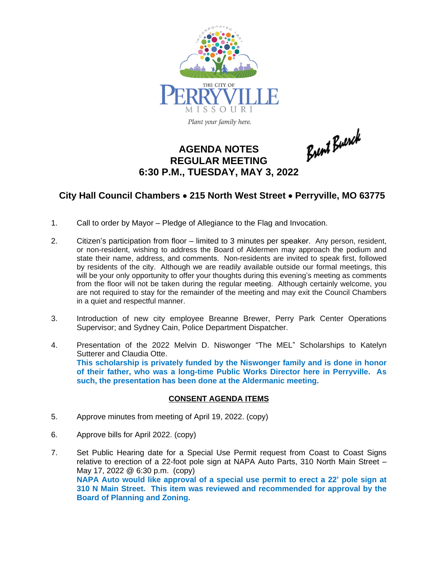

Plant your family here.

# **AGENDA NOTES REGULAR MEETING 6:30 P.M., TUESDAY, MAY 3, 2022**

**City Hall Council Chambers** · **215 North West Street** · **Perryville, MO 63775**

Brent Buerck

- 1. Call to order by Mayor Pledge of Allegiance to the Flag and Invocation.
- 2. Citizen's participation from floor limited to 3 minutes per speaker. Any person, resident, or non-resident, wishing to address the Board of Aldermen may approach the podium and state their name, address, and comments. Non-residents are invited to speak first, followed by residents of the city. Although we are readily available outside our formal meetings, this will be your only opportunity to offer your thoughts during this evening's meeting as comments from the floor will not be taken during the regular meeting. Although certainly welcome, you are not required to stay for the remainder of the meeting and may exit the Council Chambers in a quiet and respectful manner.
- 3. Introduction of new city employee Breanne Brewer, Perry Park Center Operations Supervisor; and Sydney Cain, Police Department Dispatcher.
- 4. Presentation of the 2022 Melvin D. Niswonger "The MEL" Scholarships to Katelyn Sutterer and Claudia Otte. **This scholarship is privately funded by the Niswonger family and is done in honor of their father, who was a long-time Public Works Director here in Perryville. As such, the presentation has been done at the Aldermanic meeting.**

#### **CONSENT AGENDA ITEMS**

- 5. Approve minutes from meeting of April 19, 2022. (copy)
- 6. Approve bills for April 2022. (copy)
- 7. Set Public Hearing date for a Special Use Permit request from Coast to Coast Signs relative to erection of a 22-foot pole sign at NAPA Auto Parts, 310 North Main Street – May 17, 2022 @ 6:30 p.m. (copy) **NAPA Auto would like approval of a special use permit to erect a 22' pole sign at 310 N Main Street. This item was reviewed and recommended for approval by the Board of Planning and Zoning.**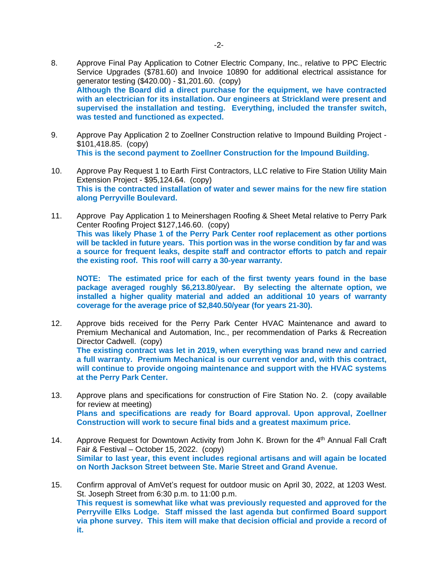- 8. Approve Final Pay Application to Cotner Electric Company, Inc., relative to PPC Electric Service Upgrades (\$781.60) and Invoice 10890 for additional electrical assistance for generator testing (\$420.00) - \$1,201.60. (copy) **Although the Board did a direct purchase for the equipment, we have contracted with an electrician for its installation. Our engineers at Strickland were present and supervised the installation and testing. Everything, included the transfer switch, was tested and functioned as expected.**
- 9. Approve Pay Application 2 to Zoellner Construction relative to Impound Building Project \$101,418.85. (copy) **This is the second payment to Zoellner Construction for the Impound Building.**
- 10. Approve Pay Request 1 to Earth First Contractors, LLC relative to Fire Station Utility Main Extension Project - \$95,124.64. (copy) **This is the contracted installation of water and sewer mains for the new fire station along Perryville Boulevard.**
- 11. Approve Pay Application 1 to Meinershagen Roofing & Sheet Metal relative to Perry Park Center Roofing Project \$127,146.60. (copy) **This was likely Phase 1 of the Perry Park Center roof replacement as other portions will be tackled in future years. This portion was in the worse condition by far and was a source for frequent leaks, despite staff and contractor efforts to patch and repair the existing roof. This roof will carry a 30-year warranty.**

**NOTE: The estimated price for each of the first twenty years found in the base package averaged roughly \$6,213.80/year. By selecting the alternate option, we installed a higher quality material and added an additional 10 years of warranty coverage for the average price of \$2,840.50/year (for years 21-30).**

- 12. Approve bids received for the Perry Park Center HVAC Maintenance and award to Premium Mechanical and Automation, Inc., per recommendation of Parks & Recreation Director Cadwell. (copy) **The existing contract was let in 2019, when everything was brand new and carried a full warranty. Premium Mechanical is our current vendor and, with this contract, will continue to provide ongoing maintenance and support with the HVAC systems at the Perry Park Center.**
- 13. Approve plans and specifications for construction of Fire Station No. 2. (copy available for review at meeting) **Plans and specifications are ready for Board approval. Upon approval, Zoellner Construction will work to secure final bids and a greatest maximum price.**
- 14. Approve Request for Downtown Activity from John K. Brown for the 4<sup>th</sup> Annual Fall Craft Fair & Festival – October 15, 2022. (copy) **Similar to last year, this event includes regional artisans and will again be located on North Jackson Street between Ste. Marie Street and Grand Avenue.**
- 15. Confirm approval of AmVet's request for outdoor music on April 30, 2022, at 1203 West. St. Joseph Street from 6:30 p.m. to 11:00 p.m. **This request is somewhat like what was previously requested and approved for the Perryville Elks Lodge. Staff missed the last agenda but confirmed Board support via phone survey. This item will make that decision official and provide a record of it.**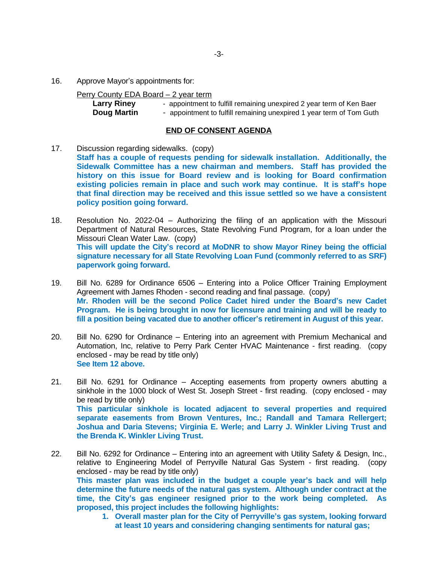16. Approve Mayor's appointments for:

#### Perry County EDA Board – 2 year term

| <b>Larry Riney</b> | - appointment to fulfill remaining unexpired 2 year term of Ken Baer |
|--------------------|----------------------------------------------------------------------|
| Doug Martin        | - appointment to fulfill remaining unexpired 1 year term of Tom Guth |

### **END OF CONSENT AGENDA**

- 17. Discussion regarding sidewalks. (copy) **Staff has a couple of requests pending for sidewalk installation. Additionally, the Sidewalk Committee has a new chairman and members. Staff has provided the history on this issue for Board review and is looking for Board confirmation existing policies remain in place and such work may continue. It is staff's hope that final direction may be received and this issue settled so we have a consistent policy position going forward.**
- 18. Resolution No. 2022-04 Authorizing the filing of an application with the Missouri Department of Natural Resources, State Revolving Fund Program, for a loan under the Missouri Clean Water Law. (copy) **This will update the City's record at MoDNR to show Mayor Riney being the official signature necessary for all State Revolving Loan Fund (commonly referred to as SRF) paperwork going forward.**
- 19. Bill No. 6289 for Ordinance 6506 Entering into a Police Officer Training Employment Agreement with James Rhoden - second reading and final passage. (copy) **Mr. Rhoden will be the second Police Cadet hired under the Board's new Cadet Program. He is being brought in now for licensure and training and will be ready to fill a position being vacated due to another officer's retirement in August of this year.**
- 20. Bill No. 6290 for Ordinance Entering into an agreement with Premium Mechanical and Automation, Inc, relative to Perry Park Center HVAC Maintenance - first reading. (copy enclosed - may be read by title only) **See Item 12 above.**
- 21. Bill No. 6291 for Ordinance Accepting easements from property owners abutting a sinkhole in the 1000 block of West St. Joseph Street - first reading. (copy enclosed - may be read by title only) **This particular sinkhole is located adjacent to several properties and required separate easements from Brown Ventures, Inc.; Randall and Tamara Rellergert; Joshua and Daria Stevens; Virginia E. Werle; and Larry J. Winkler Living Trust and the Brenda K. Winkler Living Trust.**
- 22. Bill No. 6292 for Ordinance Entering into an agreement with Utility Safety & Design, Inc., relative to Engineering Model of Perryville Natural Gas System - first reading. (copy enclosed - may be read by title only) **This master plan was included in the budget a couple year's back and will help determine the future needs of the natural gas system. Although under contract at the time, the City's gas engineer resigned prior to the work being completed. As proposed, this project includes the following highlights:**
	- **1. Overall master plan for the City of Perryville's gas system, looking forward at least 10 years and considering changing sentiments for natural gas;**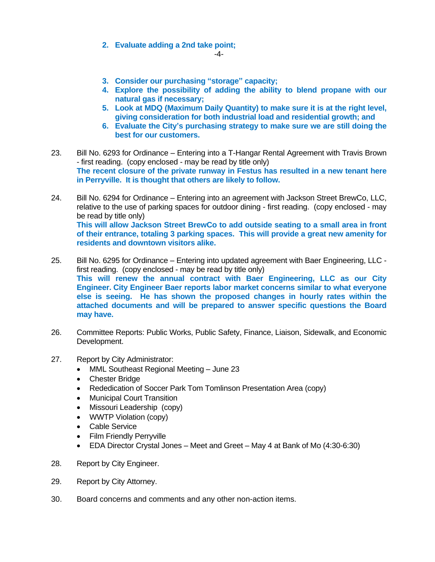## **2. Evaluate adding a 2nd take point;**

-4-

- **3. Consider our purchasing "storage" capacity;**
- **4. Explore the possibility of adding the ability to blend propane with our natural gas if necessary;**
- **5. Look at MDQ (Maximum Daily Quantity) to make sure it is at the right level, giving consideration for both industrial load and residential growth; and**
- **6. Evaluate the City's purchasing strategy to make sure we are still doing the best for our customers.**
- 23. Bill No. 6293 for Ordinance Entering into a T-Hangar Rental Agreement with Travis Brown - first reading. (copy enclosed - may be read by title only) **The recent closure of the private runway in Festus has resulted in a new tenant here in Perryville. It is thought that others are likely to follow.**
- 24. Bill No. 6294 for Ordinance Entering into an agreement with Jackson Street BrewCo, LLC, relative to the use of parking spaces for outdoor dining - first reading. (copy enclosed - may be read by title only) **This will allow Jackson Street BrewCo to add outside seating to a small area in front of their entrance, totaling 3 parking spaces. This will provide a great new amenity for residents and downtown visitors alike.**
- 25. Bill No. 6295 for Ordinance Entering into updated agreement with Baer Engineering, LLC first reading. (copy enclosed - may be read by title only) **This will renew the annual contract with Baer Engineering, LLC as our City Engineer. City Engineer Baer reports labor market concerns similar to what everyone else is seeing. He has shown the proposed changes in hourly rates within the attached documents and will be prepared to answer specific questions the Board may have.**
- 26. Committee Reports: Public Works, Public Safety, Finance, Liaison, Sidewalk, and Economic Development.
- 27. Report by City Administrator:
	- MML Southeast Regional Meeting June 23
	- Chester Bridge
	- Rededication of Soccer Park Tom Tomlinson Presentation Area (copy)
	- Municipal Court Transition
	- Missouri Leadership (copy)
	- WWTP Violation (copy)
	- Cable Service
	- Film Friendly Perryville
	- EDA Director Crystal Jones Meet and Greet May 4 at Bank of Mo (4:30-6:30)
- 28. Report by City Engineer.
- 29. Report by City Attorney.
- 30. Board concerns and comments and any other non-action items.